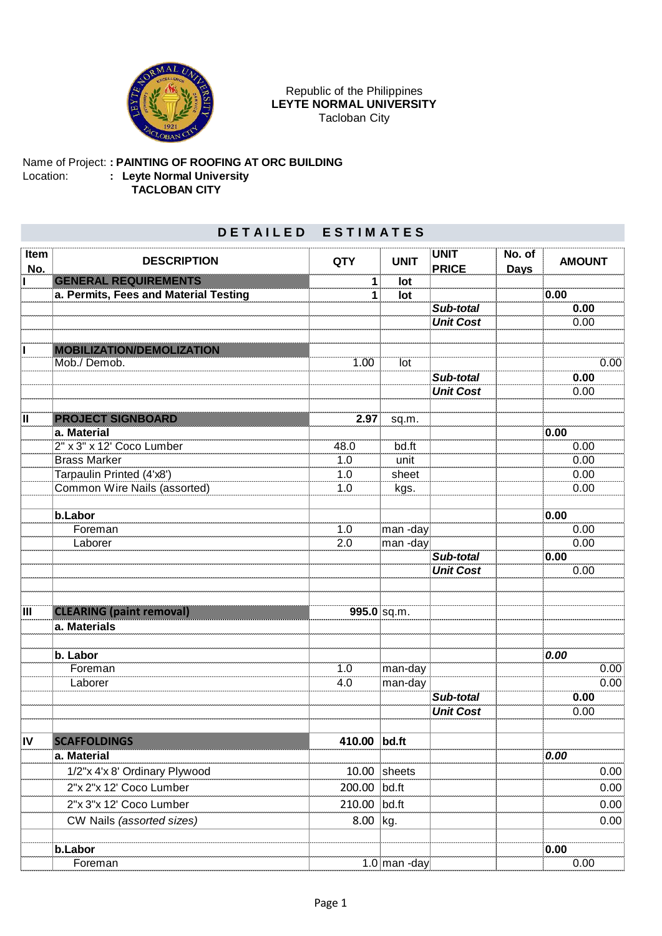

## Republic of the Philippines **LEYTE NORMAL UNIVERSITY** Tacloban City

## Name of Project: **: PAINTING OF ROOFING AT ORC BUILDING** Location: **: Leyte Normal University TACLOBAN CITY**

## **D E T A I L E D E S T I M A T E S**

| Item<br>No.             | <b>DESCRIPTION</b>                    | <b>QTY</b>   | <b>UNIT</b>    | <b>UNIT</b><br><b>PRICE</b> | No. of<br><b>Days</b> | <b>AMOUNT</b> |
|-------------------------|---------------------------------------|--------------|----------------|-----------------------------|-----------------------|---------------|
| $\mathbf{I}$            | <b>GENERAL REQUIREMENTS</b>           | 1            | lot            |                             |                       |               |
|                         | a. Permits, Fees and Material Testing | 1            | lot            |                             |                       | 0.00          |
|                         |                                       |              |                | Sub-total                   |                       | 0.00          |
|                         |                                       |              |                | <b>Unit Cost</b>            |                       | 0.00          |
|                         |                                       |              |                |                             |                       |               |
| L                       | MOBILIZATION/DEMOLIZATION             |              |                |                             |                       |               |
|                         | Mob./ Demob.                          | 1.00         | lot            |                             |                       | 0.00          |
|                         |                                       |              |                | Sub-total                   |                       | 0.00          |
|                         |                                       |              |                | <b>Unit Cost</b>            |                       | 0.00          |
| $\overline{\mathsf{I}}$ | <b>PROJECT SIGNBOARD</b>              | 2.97         | sq.m.          |                             |                       |               |
|                         | a. Material                           |              |                |                             |                       | 0.00          |
|                         | 2" x 3" x 12' Coco Lumber             | 48.0         | bd.ft          |                             |                       | 0.00          |
|                         | <b>Brass Marker</b>                   | 1.0          | unit           |                             |                       | 0.00          |
|                         | Tarpaulin Printed (4'x8')             | 1.0          | sheet          |                             |                       | 0.00          |
|                         | Common Wire Nails (assorted)          | 1.0          | kgs.           |                             |                       | 0.00          |
|                         |                                       |              |                |                             |                       |               |
|                         | b.Labor                               |              |                |                             |                       | 0.00          |
|                         | Foreman                               | 1.0          | man-day        |                             |                       | 0.00          |
|                         | Laborer                               | 2.0          | man-day        | Sub-total                   |                       | 0.00<br>0.00  |
|                         |                                       |              |                | <b>Unit Cost</b>            |                       | 0.00          |
|                         |                                       |              |                |                             |                       |               |
|                         |                                       |              |                |                             |                       |               |
| ΠĪ                      | <b>CLEARING (paint removal)</b>       |              | $995.0$ sq.m.  |                             |                       |               |
|                         | a. Materials                          |              |                |                             |                       |               |
|                         |                                       |              |                |                             |                       |               |
|                         | b. Labor                              |              |                |                             |                       | 0.00          |
|                         | Foreman                               | 1.0          | man-day        |                             |                       | 0.00          |
|                         | Laborer                               | 4.0          | man-day        |                             |                       | 0.00          |
|                         |                                       |              |                | Sub-total                   |                       | 0.00          |
|                         |                                       |              |                | <b>Unit Cost</b>            |                       | 0.00          |
| IV                      | <b>SCAFFOLDINGS</b>                   | 410.00 bd.ft |                |                             |                       |               |
|                         | a. Material                           |              |                |                             |                       | 0.00          |
|                         | 1/2"x 4'x 8' Ordinary Plywood         | 10.00        | sheets         |                             |                       | 0.00          |
|                         | 2"x 2"x 12' Coco Lumber               | 200.00       | bd.ft          |                             |                       | 0.00          |
|                         | 2"x 3"x 12' Coco Lumber               | 210.00 bd.ft |                |                             |                       | 0.00          |
|                         | CW Nails (assorted sizes)             | 8.00         | kg.            |                             |                       | 0.00          |
|                         |                                       |              |                |                             |                       |               |
|                         | b.Labor                               |              |                |                             |                       | 0.00          |
|                         | Foreman                               |              | $1.0$ man -day |                             |                       | 0.00          |